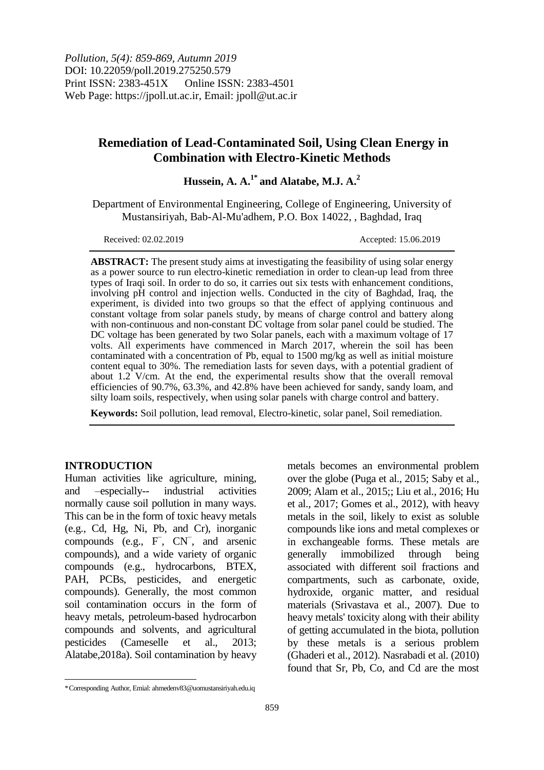*Pollution, 5(4): 859-869, Autumn 2019* DOI: 10.22059/poll.2019.275250.579 Print ISSN: 2383-451X Online ISSN: 2383-4501 Web Page: https://jpoll.ut.ac.ir, Email: jpoll@ut.ac.ir

# **Remediation of Lead-Contaminated Soil, Using Clean Energy in Combination with Electro-Kinetic Methods**

**Hussein, A. A.1\* and Alatabe, M.J. A.<sup>2</sup>**

Department of Environmental Engineering, College of Engineering, University of Mustansiriyah, Bab-Al-Mu'adhem, P.O. Box 14022, , Baghdad, Iraq

Received: 02.02.2019 Accepted: 15.06.2019

**ABSTRACT:** The present study aims at investigating the feasibility of using solar energy as a power source to run electro-kinetic remediation in order to clean-up lead from three types of Iraqi soil. In order to do so, it carries out six tests with enhancement conditions, involving pH control and injection wells. Conducted in the city of Baghdad, Iraq, the experiment, is divided into two groups so that the effect of applying continuous and constant voltage from solar panels study, by means of charge control and battery along with non-continuous and non-constant DC voltage from solar panel could be studied. The DC voltage has been generated by two Solar panels, each with a maximum voltage of 17 volts. All experiments have commenced in March 2017, wherein the soil has been contaminated with a concentration of Pb, equal to 1500 mg/kg as well as initial moisture content equal to 30%. The remediation lasts for seven days, with a potential gradient of about 1.2 V/cm. At the end, the experimental results show that the overall removal efficiencies of 90.7%, 63.3%, and 42.8% have been achieved for sandy, sandy loam, and silty loam soils, respectively, when using solar panels with charge control and battery.

**Keywords:** Soil pollution, lead removal, Electro-kinetic, solar panel, Soil remediation.

#### **INTRODUCTION**

 $\overline{a}$ 

Human activities like agriculture, mining, and –especially-- industrial activities normally cause soil pollution in many ways. This can be in the form of toxic heavy metals (e.g., Cd, Hg, Ni, Pb, and Cr), inorganic compounds (e.g., F<sup>−</sup> , CN<sup>−</sup> , and arsenic compounds), and a wide variety of organic compounds (e.g., hydrocarbons, BTEX, PAH, PCBs, pesticides, and energetic compounds). Generally, the most common soil contamination occurs in the form of heavy metals, petroleum-based hydrocarbon compounds and solvents, and agricultural pesticides (Cameselle et al., 2013; Alatabe,2018a). Soil contamination by heavy

metals becomes an environmental problem over the globe (Puga et al., 2015; Saby et al., 2009; Alam et al., 2015;; Liu et al., 2016; Hu et al., 2017; Gomes et al., 2012), with heavy metals in the soil, likely to exist as soluble compounds like ions and metal complexes or in exchangeable forms. These metals are generally immobilized through being associated with different soil fractions and compartments, such as carbonate, oxide, hydroxide, organic matter, and residual materials (Srivastava et al., 2007). Due to heavy metals' toxicity along with their ability of getting accumulated in the biota, pollution by these metals is a serious problem (Ghaderi et al., 2012). Nasrabadi et al. (2010) found that Sr, Pb, Co, and Cd are the most

<sup>\*</sup>Corresponding Author, Emial: ahmedenv83@uomustansiriyah.edu.iq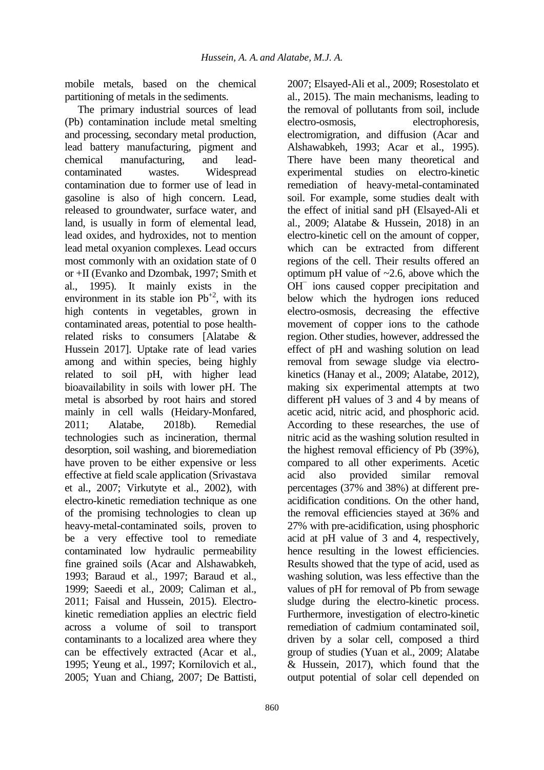mobile metals, based on the chemical partitioning of metals in the sediments.

The primary industrial sources of lead (Pb) contamination include metal smelting and processing, secondary metal production, lead battery manufacturing, pigment and chemical manufacturing, and leadcontaminated wastes. Widespread contamination due to former use of lead in gasoline is also of high concern. Lead, released to groundwater, surface water, and land, is usually in form of elemental lead, lead oxides, and hydroxides, not to mention lead metal oxyanion complexes. Lead occurs most commonly with an oxidation state of 0 or +II (Evanko and Dzombak, 1997; Smith et al., 1995). It mainly exists in the environment in its stable ion  $Pb^{+2}$ , with its high contents in vegetables, grown in contaminated areas, potential to pose healthrelated risks to consumers [Alatabe & Hussein 2017]. Uptake rate of lead varies among and within species, being highly related to soil pH, with higher lead bioavailability in soils with lower pH. The metal is absorbed by root hairs and stored mainly in cell walls (Heidary-Monfared, 2011; Alatabe, 2018b). Remedial technologies such as incineration, thermal desorption, soil washing, and bioremediation have proven to be either expensive or less effective at field scale application (Srivastava et al., 2007; Virkutyte et al., 2002), with electro-kinetic remediation technique as one of the promising technologies to clean up heavy-metal-contaminated soils, proven to be a very effective tool to remediate contaminated low hydraulic permeability fine grained soils (Acar and Alshawabkeh, 1993; Baraud et al., 1997; Baraud et al., 1999; Saeedi et al., 2009; Caliman et al., 2011; Faisal and Hussein, 2015). Electrokinetic remediation applies an electric field across a volume of soil to transport contaminants to a localized area where they can be effectively extracted (Acar et al., 1995; Yeung et al., 1997; Kornilovich et al., 2005; Yuan and Chiang, 2007; De Battisti,

2007; Elsayed-Ali et al., 2009; Rosestolato et al., 2015). The main mechanisms, leading to the removal of pollutants from soil, include electro-osmosis, electrophoresis, electromigration, and diffusion (Acar and Alshawabkeh, 1993; Acar et al., 1995). There have been many theoretical and experimental studies on electro-kinetic remediation of heavy-metal-contaminated soil. For example, some studies dealt with the effect of initial sand pH (Elsayed-Ali et al., 2009; Alatabe & Hussein, 2018) in an electro-kinetic cell on the amount of copper, which can be extracted from different regions of the cell. Their results offered an optimum pH value of  $\sim$ 2.6, above which the OH<sup>-</sup> ions caused copper precipitation and below which the hydrogen ions reduced electro-osmosis, decreasing the effective movement of copper ions to the cathode region. Other studies, however, addressed the effect of pH and washing solution on lead removal from sewage sludge via electrokinetics (Hanay et al., 2009; Alatabe, 2012), making six experimental attempts at two different pH values of 3 and 4 by means of acetic acid, nitric acid, and phosphoric acid. According to these researches, the use of nitric acid as the washing solution resulted in the highest removal efficiency of Pb (39%), compared to all other experiments. Acetic acid also provided similar removal percentages (37% and 38%) at different preacidification conditions. On the other hand, the removal efficiencies stayed at 36% and 27% with pre-acidification, using phosphoric acid at pH value of 3 and 4, respectively, hence resulting in the lowest efficiencies. Results showed that the type of acid, used as washing solution, was less effective than the values of pH for removal of Pb from sewage sludge during the electro-kinetic process. Furthermore, investigation of electro-kinetic remediation of cadmium contaminated soil, driven by a solar cell, composed a third group of studies (Yuan et al., 2009; Alatabe & Hussein, 2017), which found that the output potential of solar cell depended on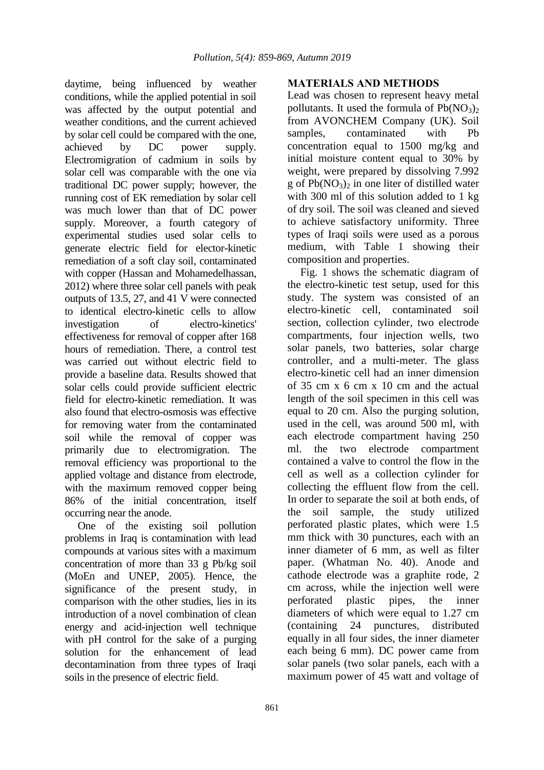daytime, being influenced by weather conditions, while the applied potential in soil was affected by the output potential and weather conditions, and the current achieved by solar cell could be compared with the one, achieved by DC power supply. Electromigration of cadmium in soils by solar cell was comparable with the one via traditional DC power supply; however, the running cost of EK remediation by solar cell was much lower than that of DC power supply. Moreover, a fourth category of experimental studies used solar cells to generate electric field for elector-kinetic remediation of a soft clay soil, contaminated with copper (Hassan and Mohamedelhassan, 2012) where three solar cell panels with peak outputs of 13.5, 27, and 41 V were connected to identical electro-kinetic cells to allow investigation of electro-kinetics' effectiveness for removal of copper after 168 hours of remediation. There, a control test was carried out without electric field to provide a baseline data. Results showed that solar cells could provide sufficient electric field for electro-kinetic remediation. It was also found that electro-osmosis was effective for removing water from the contaminated soil while the removal of copper was primarily due to electromigration. The removal efficiency was proportional to the applied voltage and distance from electrode, with the maximum removed copper being 86% of the initial concentration, itself occurring near the anode.

One of the existing soil pollution problems in Iraq is contamination with lead compounds at various sites with a maximum concentration of more than 33 g Pb/kg soil (MoEn and UNEP, 2005). Hence, the significance of the present study, in comparison with the other studies, lies in its introduction of a novel combination of clean energy and acid-injection well technique with pH control for the sake of a purging solution for the enhancement of lead decontamination from three types of Iraqi soils in the presence of electric field.

## **MATERIALS AND METHODS**

Lead was chosen to represent heavy metal pollutants. It used the formula of  $Pb(NO_3)$ from AVONCHEM Company (UK). Soil samples, contaminated with Pb concentration equal to 1500 mg/kg and initial moisture content equal to 30% by weight, were prepared by dissolving 7.992 g of  $Pb(NO_3)$ <sub>2</sub> in one liter of distilled water with 300 ml of this solution added to 1 kg of dry soil. The soil was cleaned and sieved to achieve satisfactory uniformity. Three types of Iraqi soils were used as a porous medium, with Table 1 showing their composition and properties.

Fig. 1 shows the schematic diagram of the electro-kinetic test setup, used for this study. The system was consisted of an electro-kinetic cell, contaminated soil section, collection cylinder, two electrode compartments, four injection wells, two solar panels, two batteries, solar charge controller, and a multi-meter. The glass electro-kinetic cell had an inner dimension of 35 cm x 6 cm x 10 cm and the actual length of the soil specimen in this cell was equal to 20 cm. Also the purging solution, used in the cell, was around 500 ml, with each electrode compartment having 250 ml. the two electrode compartment contained a valve to control the flow in the cell as well as a collection cylinder for collecting the effluent flow from the cell. In order to separate the soil at both ends, of the soil sample, the study utilized perforated plastic plates, which were 1.5 mm thick with 30 punctures, each with an inner diameter of 6 mm, as well as filter paper. (Whatman No. 40). Anode and cathode electrode was a graphite rode, 2 cm across, while the injection well were perforated plastic pipes, the inner diameters of which were equal to 1.27 cm (containing 24 punctures, distributed equally in all four sides, the inner diameter each being 6 mm). DC power came from solar panels (two solar panels, each with a maximum power of 45 watt and voltage of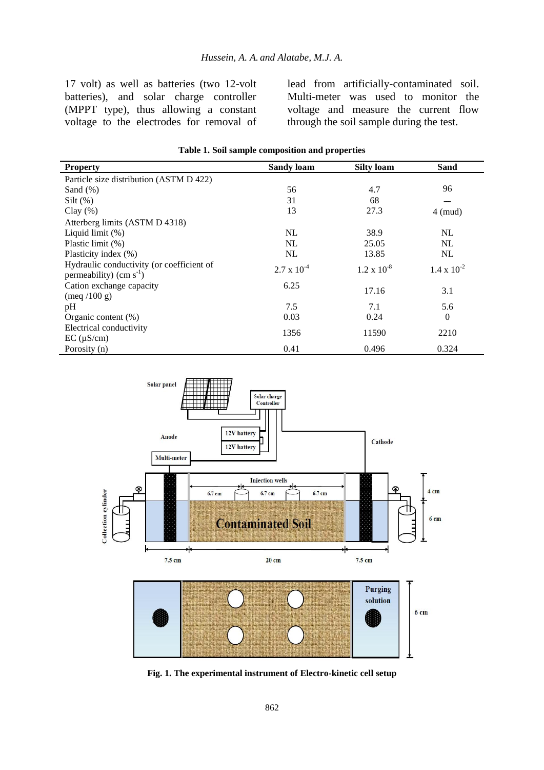17 volt) as well as batteries (two 12-volt batteries), and solar charge controller (MPPT type), thus allowing a constant voltage to the electrodes for removal of lead from artificially-contaminated soil. Multi-meter was used to monitor the voltage and measure the current flow through the soil sample during the test.

| <b>Property</b>                                                           | <b>Sandy loam</b>    | <b>Silty loam</b>    | Sand                 |
|---------------------------------------------------------------------------|----------------------|----------------------|----------------------|
| Particle size distribution (ASTM D 422)                                   |                      |                      |                      |
| Sand $(\%)$                                                               | 56                   | 4.7                  | 96                   |
| Silt $(\%)$                                                               | 31                   | 68                   |                      |
| Clay $(\% )$                                                              | 13                   | 27.3                 | $4 \pmod{2}$         |
| Atterberg limits (ASTM D 4318)                                            |                      |                      |                      |
| Liquid limit (%)                                                          | NL                   | 38.9                 | NL                   |
| Plastic limit (%)                                                         | <b>NL</b>            | 25.05                | NL                   |
| Plasticity index (%)                                                      | NL                   | 13.85                | NL                   |
| Hydraulic conductivity (or coefficient of<br>permeability) (cm $s^{-1}$ ) | $2.7 \times 10^{-4}$ | $1.2 \times 10^{-8}$ | $1.4 \times 10^{-2}$ |
| Cation exchange capacity<br>$(\text{meq } / 100 \text{ g})$               | 6.25                 | 17.16                | 3.1                  |
| pH                                                                        | 7.5                  | 7.1                  | 5.6                  |
| Organic content $(\%)$                                                    | 0.03                 | 0.24                 | $\theta$             |
| Electrical conductivity<br>$EC$ ( $\mu$ S/cm)                             | 1356                 | 11590                | 2210                 |
| Porosity (n)                                                              | 0.41                 | 0.496                | 0.324                |





**Fig. 1. The experimental instrument of Electro-kinetic cell setup**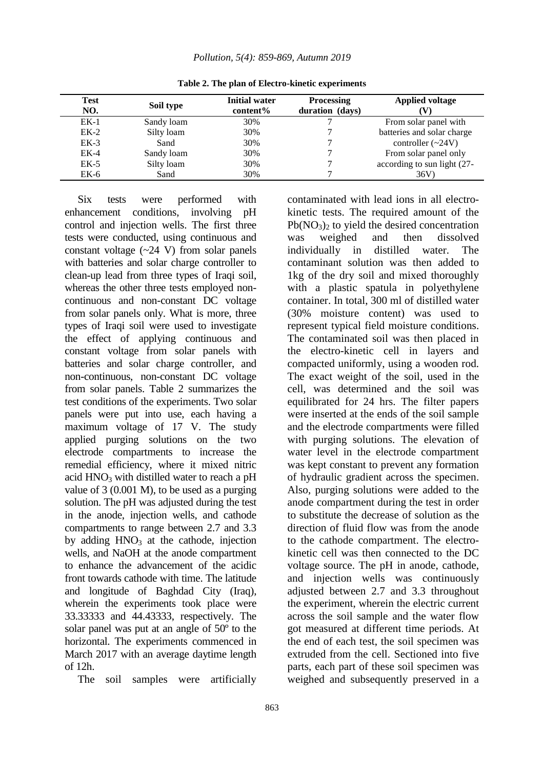| <b>Test</b><br>NO. | Soil type  | <b>Initial water</b><br>content% | <b>Processing</b><br>duration (days) | <b>Applied voltage</b>      |
|--------------------|------------|----------------------------------|--------------------------------------|-----------------------------|
| $EK-1$             | Sandy loam | 30%                              |                                      | From solar panel with       |
| $EK-2$             | Silty loam | 30%                              |                                      | batteries and solar charge  |
| $EK-3$             | Sand       | 30%                              |                                      | controller $(\sim 24V)$     |
| $EK-4$             | Sandy loam | 30%                              |                                      | From solar panel only       |
| $EK-5$             | Silty loam | 30%                              |                                      | according to sun light (27- |
| EK-6               | Sand       | 30%                              |                                      | 36V                         |

**Table 2. The plan of Electro-kinetic experiments**

Six tests were performed with enhancement conditions, involving pH control and injection wells. The first three tests were conducted, using continuous and constant voltage  $(-24 V)$  from solar panels with batteries and solar charge controller to clean-up lead from three types of Iraqi soil, whereas the other three tests employed noncontinuous and non-constant DC voltage from solar panels only. What is more, three types of Iraqi soil were used to investigate the effect of applying continuous and constant voltage from solar panels with batteries and solar charge controller, and non-continuous, non-constant DC voltage from solar panels. Table 2 summarizes the test conditions of the experiments. Two solar panels were put into use, each having a maximum voltage of 17 V. The study applied purging solutions on the two electrode compartments to increase the remedial efficiency, where it mixed nitric acid  $HNO<sub>3</sub>$  with distilled water to reach a pH value of 3 (0.001 M), to be used as a purging solution. The pH was adjusted during the test in the anode, injection wells, and cathode compartments to range between 2.7 and 3.3 by adding  $HNO<sub>3</sub>$  at the cathode, injection wells, and NaOH at the anode compartment to enhance the advancement of the acidic front towards cathode with time. The latitude and longitude of Baghdad City (Iraq), wherein the experiments took place were 33.33333 and 44.43333, respectively. The solar panel was put at an angle of 50º to the horizontal. The experiments commenced in March 2017 with an average daytime length of 12h.

The soil samples were artificially

contaminated with lead ions in all electrokinetic tests. The required amount of the  $Pb(NO<sub>3</sub>)<sub>2</sub>$  to yield the desired concentration was weighed and then dissolved individually in distilled water. The contaminant solution was then added to 1kg of the dry soil and mixed thoroughly with a plastic spatula in polyethylene container. In total, 300 ml of distilled water (30% moisture content) was used to represent typical field moisture conditions. The contaminated soil was then placed in the electro-kinetic cell in layers and compacted uniformly, using a wooden rod. The exact weight of the soil, used in the cell, was determined and the soil was equilibrated for 24 hrs. The filter papers were inserted at the ends of the soil sample and the electrode compartments were filled with purging solutions. The elevation of water level in the electrode compartment was kept constant to prevent any formation of hydraulic gradient across the specimen. Also, purging solutions were added to the anode compartment during the test in order to substitute the decrease of solution as the direction of fluid flow was from the anode to the cathode compartment. The electrokinetic cell was then connected to the DC voltage source. The pH in anode, cathode, and injection wells was continuously adjusted between 2.7 and 3.3 throughout the experiment, wherein the electric current across the soil sample and the water flow got measured at different time periods. At the end of each test, the soil specimen was extruded from the cell. Sectioned into five parts, each part of these soil specimen was weighed and subsequently preserved in a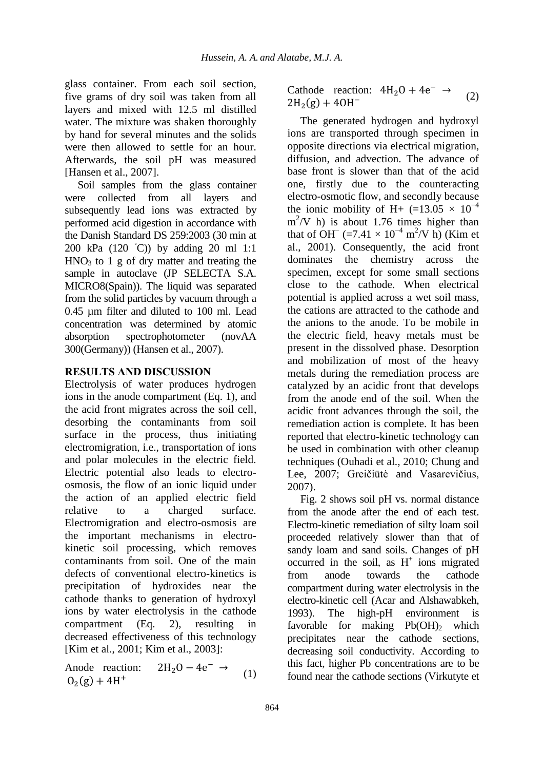glass container. From each soil section, five grams of dry soil was taken from all layers and mixed with 12.5 ml distilled water. The mixture was shaken thoroughly by hand for several minutes and the solids were then allowed to settle for an hour. Afterwards, the soil pH was measured [Hansen et al., 2007].

Soil samples from the glass container were collected from all layers and subsequently lead ions was extracted by performed acid digestion in accordance with the Danish Standard DS 259:2003 (30 min at 200 kPa (120 ◦C)) by adding 20 ml 1:1  $HNO<sub>3</sub>$  to 1 g of dry matter and treating the sample in autoclave (JP SELECTA S.A. MICRO8(Spain)). The liquid was separated from the solid particles by vacuum through a 0.45 µm filter and diluted to 100 ml. Lead concentration was determined by atomic absorption spectrophotometer (novAA 300(Germany)) (Hansen et al., 2007).

## **RESULTS AND DISCUSSION**

Electrolysis of water produces hydrogen ions in the anode compartment (Eq. 1), and the acid front migrates across the soil cell, desorbing the contaminants from soil surface in the process, thus initiating electromigration, i.e., transportation of ions and polar molecules in the electric field. Electric potential also leads to electroosmosis, the flow of an ionic liquid under the action of an applied electric field relative to a charged surface. Electromigration and electro-osmosis are the important mechanisms in electrokinetic soil processing, which removes contaminants from soil. One of the main defects of conventional electro-kinetics is precipitation of hydroxides near the cathode thanks to generation of hydroxyl ions by water electrolysis in the cathode compartment  $(Eq. 2)$ , resulting decreased effectiveness of this technology [Kim et al., 2001; Kim et al., 2003]:

Anode reaction:  $2H_2O-4e^ \rightarrow$  $O_2(g) + 4H^+$ (1) Cathode reaction:  $4H_2O + 4e^ 2H_2(g) +$ (2)

The generated hydrogen and hydroxyl ions are transported through specimen in opposite directions via electrical migration, diffusion, and advection. The advance of base front is slower than that of the acid one, firstly due to the counteracting electro-osmotic flow, and secondly because the ionic mobility of H+ (=13.05  $\times$  10<sup>-4</sup>  $m^2$ /V h) is about 1.76 times higher than that of OH<sup> $-$ </sup> (=7.41 × 10<sup>-4</sup> m<sup>2</sup>/V h) (Kim et al., 2001). Consequently, the acid front dominates the chemistry across the specimen, except for some small sections close to the cathode. When electrical potential is applied across a wet soil mass, the cations are attracted to the cathode and the anions to the anode. To be mobile in the electric field, heavy metals must be present in the dissolved phase. Desorption and mobilization of most of the heavy metals during the remediation process are catalyzed by an acidic front that develops from the anode end of the soil. When the acidic front advances through the soil, the remediation action is complete. It has been reported that electro-kinetic technology can be used in combination with other cleanup techniques (Ouhadi et al., 2010; Chung and Lee, 2007; Greičiūtė and Vasarevičius, 2007).

Fig. 2 shows soil pH vs. normal distance from the anode after the end of each test. Electro-kinetic remediation of silty loam soil proceeded relatively slower than that of sandy loam and sand soils. Changes of pH occurred in the soil, as  $H^+$  ions migrated from anode towards the cathode compartment during water electrolysis in the electro-kinetic cell (Acar and Alshawabkeh, 1993). The high-pH environment is favorable for making  $Pb(OH)$ <sub>2</sub> which precipitates near the cathode sections, decreasing soil conductivity. According to this fact, higher Pb concentrations are to be found near the cathode sections (Virkutyte et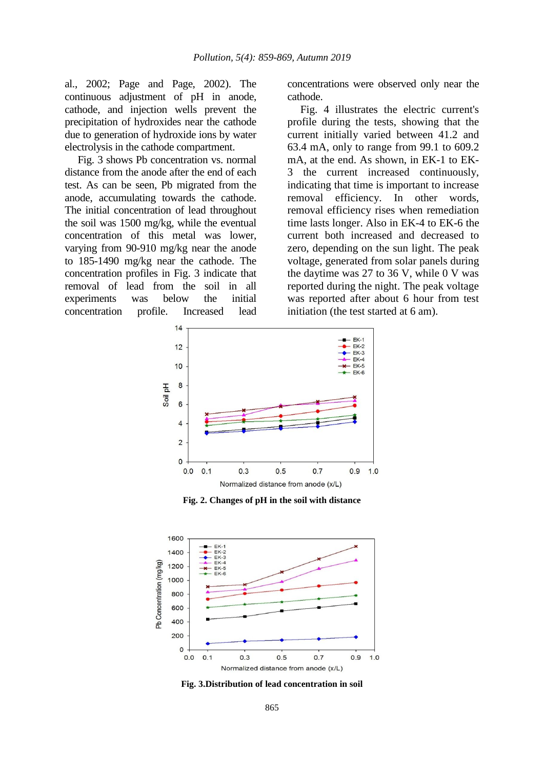al., 2002; Page and Page, 2002). The continuous adjustment of pH in anode, cathode, and injection wells prevent the precipitation of hydroxides near the cathode due to generation of hydroxide ions by water electrolysis in the cathode compartment.

Fig. 3 shows Pb concentration vs. normal distance from the anode after the end of each test. As can be seen, Pb migrated from the anode, accumulating towards the cathode. The initial concentration of lead throughout the soil was 1500 mg/kg, while the eventual concentration of this metal was lower, varying from 90-910 mg/kg near the anode to 185-1490 mg/kg near the cathode. The concentration profiles in Fig. 3 indicate that removal of lead from the soil in all experiments was below the initial concentration profile. Increased lead concentrations were observed only near the cathode.

Fig. 4 illustrates the electric current's profile during the tests, showing that the current initially varied between 41.2 and 63.4 mA, only to range from 99.1 to 609.2 mA, at the end. As shown, in EK-1 to EK-3 the current increased continuously, indicating that time is important to increase removal efficiency. In other words, removal efficiency rises when remediation time lasts longer. Also in EK-4 to EK-6 the current both increased and decreased to zero, depending on the sun light. The peak voltage, generated from solar panels during the daytime was 27 to 36 V, while 0 V was reported during the night. The peak voltage was reported after about 6 hour from test initiation (the test started at 6 am).



**Fig. 2. Changes of pH in the soil with distance**



**Fig. 3.Distribution of lead concentration in soil**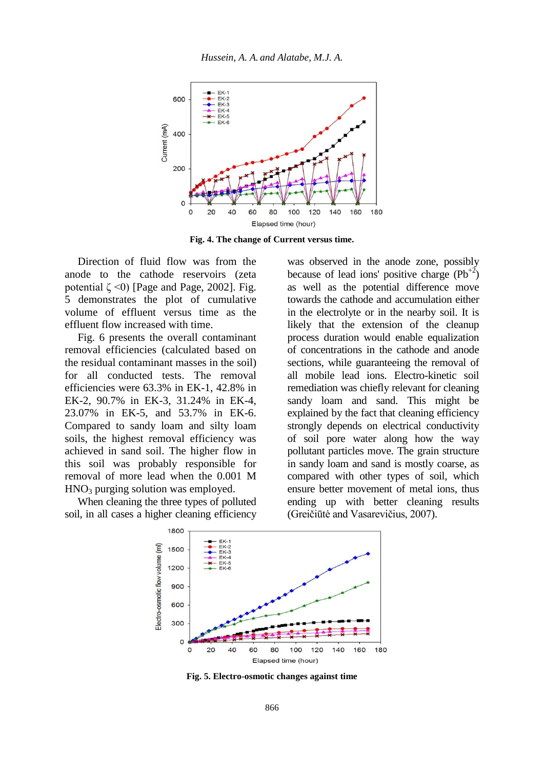

**Fig. 4. The change of Current versus time.**

Direction of fluid flow was from the anode to the cathode reservoirs (zeta potential  $\zeta \le 0$ ) [Page and Page, 2002]. Fig. 5 demonstrates the plot of cumulative volume of effluent versus time as the effluent flow increased with time.

Fig. 6 presents the overall contaminant removal efficiencies (calculated based on the residual contaminant masses in the soil) for all conducted tests. The removal efficiencies were 63.3% in EK-1, 42.8% in EK-2, 90.7% in EK-3, 31.24% in EK-4, 23.07% in EK-5, and 53.7% in EK-6. Compared to sandy loam and silty loam soils, the highest removal efficiency was achieved in sand soil. The higher flow in this soil was probably responsible for removal of more lead when the 0.001 M  $HNO<sub>3</sub>$  purging solution was employed.

When cleaning the three types of polluted soil, in all cases a higher cleaning efficiency

was observed in the anode zone, possibly because of lead ions' positive charge  $(Pb^{+2})$ as well as the potential difference move towards the cathode and accumulation either in the electrolyte or in the nearby soil. It is likely that the extension of the cleanup process duration would enable equalization of concentrations in the cathode and anode sections, while guaranteeing the removal of all mobile lead ions. Electro-kinetic soil remediation was chiefly relevant for cleaning sandy loam and sand. This might be explained by the fact that cleaning efficiency strongly depends on electrical conductivity of soil pore water along how the way pollutant particles move. The grain structure in sandy loam and sand is mostly coarse, as compared with other types of soil, which ensure better movement of metal ions, thus ending up with better cleaning results (Greičiūtė and Vasarevičius, 2007).



**Fig. 5. Electro-osmotic changes against time**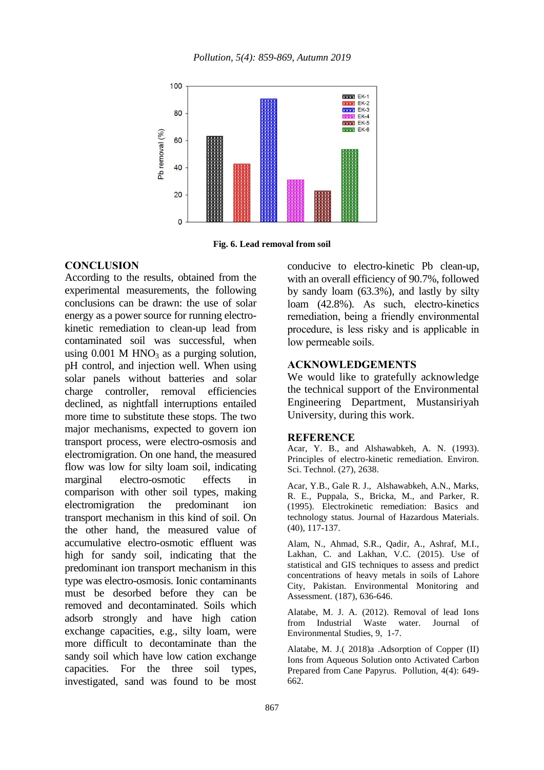

**Fig. 6. Lead removal from soil**

## **CONCLUSION**

According to the results, obtained from the experimental measurements, the following conclusions can be drawn: the use of solar energy as a power source for running electrokinetic remediation to clean-up lead from contaminated soil was successful, when using  $0.001$  M HNO<sub>3</sub> as a purging solution, pH control, and injection well. When using solar panels without batteries and solar charge controller, removal efficiencies declined, as nightfall interruptions entailed more time to substitute these stops. The two major mechanisms, expected to govern ion transport process, were electro-osmosis and electromigration. On one hand, the measured flow was low for silty loam soil, indicating marginal electro-osmotic effects in comparison with other soil types, making electromigration the predominant ion transport mechanism in this kind of soil. On the other hand, the measured value of accumulative electro-osmotic effluent was high for sandy soil, indicating that the predominant ion transport mechanism in this type was electro-osmosis. Ionic contaminants must be desorbed before they can be removed and decontaminated. Soils which adsorb strongly and have high cation exchange capacities, e.g., silty loam, were more difficult to decontaminate than the sandy soil which have low cation exchange capacities. For the three soil types, investigated, sand was found to be most

conducive to electro-kinetic Pb clean-up, with an overall efficiency of 90.7%, followed by sandy loam (63.3%), and lastly by silty loam (42.8%). As such, electro-kinetics remediation, being a friendly environmental procedure, is less risky and is applicable in low permeable soils.

#### **ACKNOWLEDGEMENTS**

We would like to gratefully acknowledge the technical support of the Environmental Engineering Department, Mustansiriyah University, during this work.

#### **REFERENCE**

Acar, Y. B., and Alshawabkeh, A. N. (1993). Principles of electro-kinetic remediation. Environ. Sci. Technol. (27), 2638.

Acar, Y.B., Gale R. J., Alshawabkeh, A.N., Marks, R. E., Puppala, S., Bricka, M., and Parker, R. (1995). Electrokinetic remediation: Basics and technology status. Journal of Hazardous Materials. (40), 117-137.

Alam, N., Ahmad, S.R., Qadir, A., Ashraf, M.I., Lakhan, C. and Lakhan, V.C. (2015). Use of statistical and GIS techniques to assess and predict concentrations of heavy metals in soils of Lahore City, Pakistan. Environmental Monitoring and Assessment. (187), 636-646.

Alatabe, M. J. A. (2012). Removal of lead Ions from Industrial Waste water. Journal of Environmental Studies, 9, 1-7.

Alatabe, M. J.( 2018)a .Adsorption of Copper (II) Ions from Aqueous Solution onto Activated Carbon Prepared from Cane Papyrus. Pollution, 4(4): 649- 662.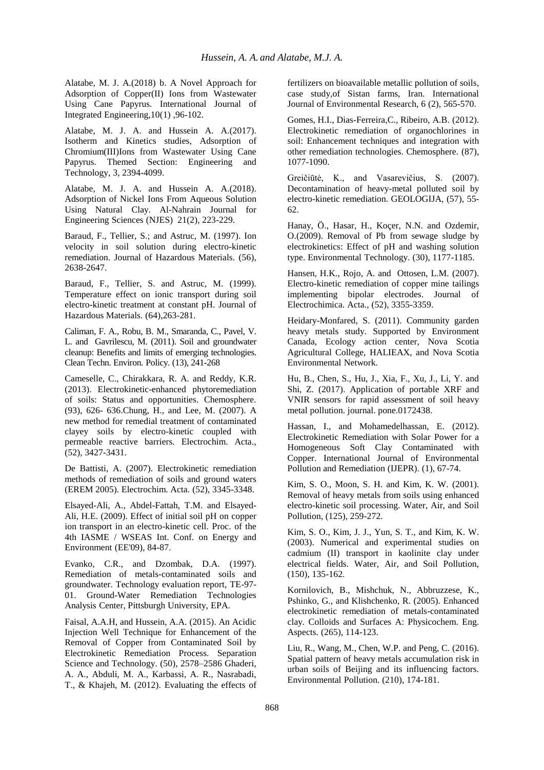Alatabe, M. J. A.(2018) b. A Novel Approach for Adsorption of Copper(II) Ions from Wastewater Using Cane Papyrus. International Journal of Integrated Engineering,10(1) ,96-102.

Alatabe, M. J. A. and Hussein A. A.(2017). Isotherm and Kinetics studies, Adsorption of Chromium(III)Ions from Wastewater Using Cane Papyrus. Themed Section: Engineering and Technology, 3, 2394-4099.

Alatabe, M. J. A. and Hussein A. A.(2018). Adsorption of Nickel Ions From Aqueous Solution Using Natural Clay. Al-Nahrain Journal for Engineering Sciences (NJES) 21(2), 223-229.

Baraud, F., Tellier, S.; and Astruc, M. (1997). Ion velocity in soil solution during electro-kinetic remediation. Journal of Hazardous Materials. (56), 2638-2647.

Baraud, F., Tellier, S. and Astruc, M. (1999). Temperature effect on ionic transport during soil electro-kinetic treatment at constant pH. Journal of Hazardous Materials. (64),263-281.

Caliman, F. A., Robu, B. M., Smaranda, C., Pavel, V. L. and Gavrilescu, M. (2011). Soil and groundwater cleanup: Benefits and limits of emerging technologies. Clean Techn. Environ. Policy. (13), 241-268

Cameselle, C., Chirakkara, R. A. and Reddy, K.R. (2013). Electrokinetic-enhanced phytoremediation of soils: Status and opportunities. Chemosphere. (93), 626- 636.Chung, H., and Lee, M. (2007). A new method for remedial treatment of contaminated clayey soils by electro-kinetic coupled with permeable reactive barriers. Electrochim. Acta., (52), 3427-3431.

De Battisti, A. (2007). Electrokinetic remediation methods of remediation of soils and ground waters (EREM 2005). Electrochim. Acta. (52), 3345-3348.

Elsayed-Ali, A., Abdel-Fattah, T.M. and Elsayed-Ali, H.E. (2009). Effect of initial soil pH on copper ion transport in an electro-kinetic cell. Proc. of the 4th IASME / WSEAS Int. Conf. on Energy and Environment (EE'09), 84-87.

Evanko, C.R., and Dzombak, D.A. (1997). Remediation of metals-contaminated soils and groundwater. Technology evaluation report, TE-97- 01. Ground-Water Remediation Technologies Analysis Center, Pittsburgh University, EPA.

Faisal, A.A.H, and Hussein, A.A. (2015). An Acidic Injection Well Technique for Enhancement of the Removal of Copper from Contaminated Soil by Electrokinetic Remediation Process. Separation Science and Technology. (50), 2578–2586 Ghaderi, A. A., Abduli, M. A., Karbassi, A. R., Nasrabadi, T., & Khajeh, M. (2012). Evaluating the effects of fertilizers on bioavailable metallic pollution of soils, case study,of Sistan farms, Iran. International Journal of Environmental Research, 6 (2), 565-570.

Gomes, H.I., Dias-Ferreira,C., Ribeiro, A.B. (2012). Electrokinetic remediation of organochlorines in soil: Enhancement techniques and integration with other remediation technologies. Chemosphere. (87), 1077-1090.

Greičiūtė, K., and Vasarevičius, S. (2007). Decontamination of heavy-metal polluted soil by electro-kinetic remediation. GEOLOGIJA, (57), 55- 62.

Hanay, Ö., Hasar, H., Koçer, N.N. and Ozdemir, O.(2009). Removal of Pb from sewage sludge by electrokinetics: Effect of pH and washing solution type. Environmental Technology. (30), 1177-1185.

Hansen, H.K., Rojo, A. and Ottosen, L.M. (2007). Electro-kinetic remediation of copper mine tailings implementing bipolar electrodes. Journal of Electrochimica. Acta., (52), 3355-3359.

Heidary-Monfared, S. (2011). Community garden heavy metals study. Supported by Environment Canada, Ecology action center, Nova Scotia Agricultural College, HALIEAX, and Nova Scotia Environmental Network.

Hu, B., Chen, S., Hu, J., Xia, F., Xu, J., Li, Y. and Shi, Z. (2017). Application of portable XRF and VNIR sensors for rapid assessment of soil heavy metal pollution. journal. pone.0172438.

Hassan, I., and Mohamedelhassan, E. (2012). Electrokinetic Remediation with Solar Power for a Homogeneous Soft Clay Contaminated with Copper. International Journal of Environmental Pollution and Remediation (IJEPR). (1), 67-74.

Kim, S. O., Moon, S. H. and Kim, K. W. (2001). Removal of heavy metals from soils using enhanced electro-kinetic soil processing. Water, Air, and Soil Pollution, (125), 259-272.

Kim, S. O., Kim, J. J., Yun, S. T., and Kim, K. W. (2003). Numerical and experimental studies on cadmium (II) transport in kaolinite clay under electrical fields. Water, Air, and Soil Pollution, (150), 135-162.

Kornilovich, B., Mishchuk, N., Abbruzzese, K., Pshinko, G., and Klishchenko, R. (2005). Enhanced electrokinetic remediation of metals-contaminated clay. Colloids and Surfaces A: Physicochem. Eng. Aspects. (265), 114-123.

Liu, R., Wang, M., Chen, W.P. and Peng, C. (2016). Spatial pattern of heavy metals accumulation risk in urban soils of Beijing and its influencing factors. Environmental Pollution. (210), 174-181.